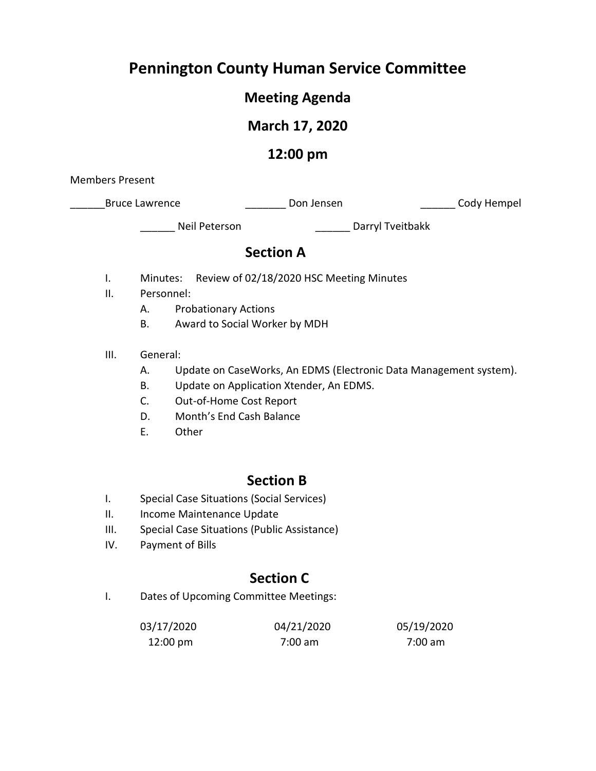# **Pennington County Human Service Committee**

### **Meeting Agenda**

# **March 17, 2020**

## **12:00 pm**

Members Present

\_Bruce Lawrence \_\_\_\_\_\_\_\_\_\_\_\_\_\_\_\_\_\_\_\_\_\_\_\_Don Jensen \_\_\_\_\_\_\_\_\_\_\_\_\_\_\_\_\_\_\_\_\_\_\_Cody Hempel

Neil Peterson **Exercise Serverson** Darryl Tveitbakk

### **Section A**

- I. Minutes: Review of 02/18/2020 HSC Meeting Minutes
- II. Personnel:
	- A. Probationary Actions
	- B. Award to Social Worker by MDH
- III. General:
	- A. Update on CaseWorks, An EDMS (Electronic Data Management system).
	- B. Update on Application Xtender, An EDMS.
	- C. Out-of-Home Cost Report
	- D. Month's End Cash Balance
	- E. Other

### **Section B**

- I. Special Case Situations (Social Services)
- II. Income Maintenance Update
- III. Special Case Situations (Public Assistance)
- IV. Payment of Bills

### **Section C**

I. Dates of Upcoming Committee Meetings:

| 03/17/2020         | 04/21/2020        | 05/19/2020 |
|--------------------|-------------------|------------|
| $12:00 \text{ pm}$ | $7:00 \text{ am}$ | 7:00 am    |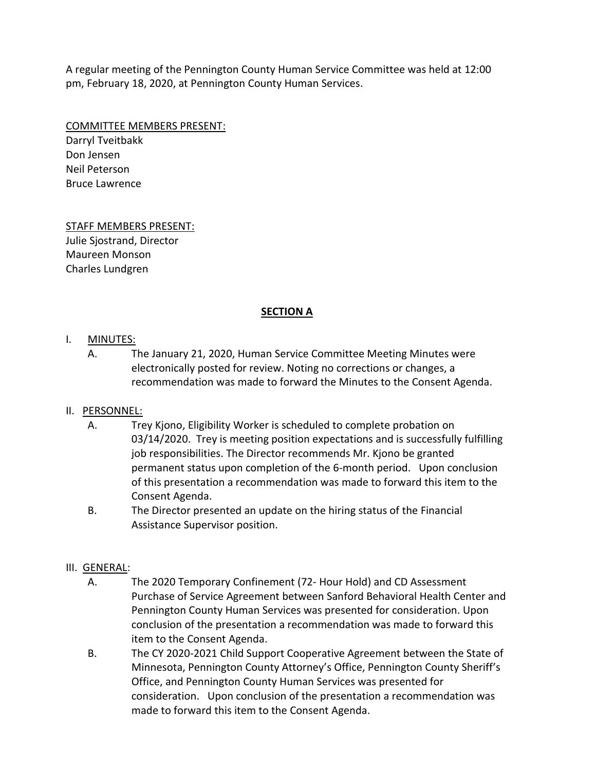A regular meeting of the Pennington County Human Service Committee was held at 12:00 pm, February 18, 2020, at Pennington County Human Services.

COMMITTEE MEMBERS PRESENT:

Darryl Tveitbakk Don Jensen Neil Peterson Bruce Lawrence

STAFF MEMBERS PRESENT: Julie Sjostrand, Director Maureen Monson Charles Lundgren

#### **SECTION A**

#### I. MINUTES:

A. The January 21, 2020, Human Service Committee Meeting Minutes were electronically posted for review. Noting no corrections or changes, a recommendation was made to forward the Minutes to the Consent Agenda.

#### II. PERSONNEL:

- A. Trey Kjono, Eligibility Worker is scheduled to complete probation on 03/14/2020. Trey is meeting position expectations and is successfully fulfilling job responsibilities. The Director recommends Mr. Kjono be granted permanent status upon completion of the 6-month period. Upon conclusion of this presentation a recommendation was made to forward this item to the Consent Agenda.
- B. The Director presented an update on the hiring status of the Financial Assistance Supervisor position.

#### III. GENERAL:

- A. The 2020 Temporary Confinement (72- Hour Hold) and CD Assessment Purchase of Service Agreement between Sanford Behavioral Health Center and Pennington County Human Services was presented for consideration. Upon conclusion of the presentation a recommendation was made to forward this item to the Consent Agenda.
- B. The CY 2020-2021 Child Support Cooperative Agreement between the State of Minnesota, Pennington County Attorney's Office, Pennington County Sheriff's Office, and Pennington County Human Services was presented for consideration. Upon conclusion of the presentation a recommendation was made to forward this item to the Consent Agenda.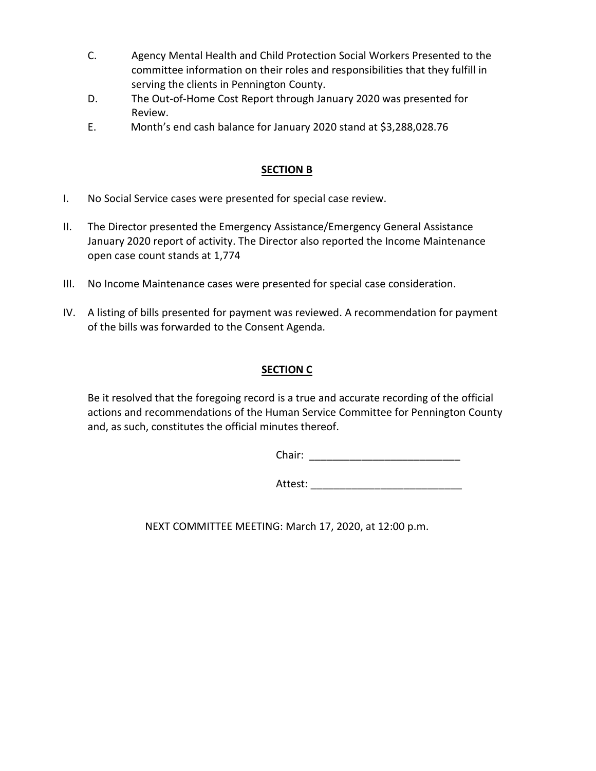- C. Agency Mental Health and Child Protection Social Workers Presented to the committee information on their roles and responsibilities that they fulfill in serving the clients in Pennington County.
- D. The Out-of-Home Cost Report through January 2020 was presented for Review.
- E. Month's end cash balance for January 2020 stand at \$3,288,028.76

#### **SECTION B**

- I. No Social Service cases were presented for special case review.
- II. The Director presented the Emergency Assistance/Emergency General Assistance January 2020 report of activity. The Director also reported the Income Maintenance open case count stands at 1,774
- III. No Income Maintenance cases were presented for special case consideration.
- IV. A listing of bills presented for payment was reviewed. A recommendation for payment of the bills was forwarded to the Consent Agenda.

#### **SECTION C**

Be it resolved that the foregoing record is a true and accurate recording of the official actions and recommendations of the Human Service Committee for Pennington County and, as such, constitutes the official minutes thereof.

Chair: \_\_\_\_\_\_\_\_\_\_\_\_\_\_\_\_\_\_\_\_\_\_\_\_\_\_

Attest: \_\_\_\_\_\_\_\_\_\_\_\_\_\_\_\_\_\_\_\_\_\_\_\_\_\_

NEXT COMMITTEE MEETING: March 17, 2020, at 12:00 p.m.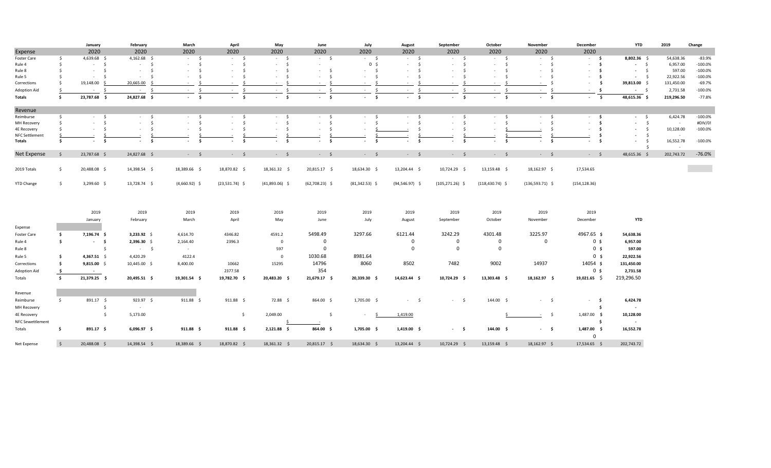|                         |              | January                  | February               | March                  | April                      | May                        | June                                  | July             | August                                    | September              | October                    | November               | December                | <b>YTD</b>         | 2019       | Change    |
|-------------------------|--------------|--------------------------|------------------------|------------------------|----------------------------|----------------------------|---------------------------------------|------------------|-------------------------------------------|------------------------|----------------------------|------------------------|-------------------------|--------------------|------------|-----------|
| Expense                 |              | 2020                     | 2020                   | 2020                   | 2020                       | 2020                       | 2020                                  | 2020             | 2020                                      | 2020                   | 2020                       | 2020                   | 2020                    |                    |            |           |
| Foster Care             | - S          | 4,639.68 \$              | $4,162.68$ \$          | $-5$                   | $-5$                       | $-5$                       | $-5$                                  | $-5$             | $-5$                                      | $-5$                   | $-5$                       | $-5$                   | $-5$                    | 8,802.36 \$        | 54,638.36  | $-83.9%$  |
| Rule 4                  | - Ś          | $-5$                     | $-5$                   | $-5$                   | \$<br>$\sim$               | $-5$                       | $\sim$                                | 0 <sup>5</sup>   | $\ddot{\mathsf{s}}$<br><b>All College</b> | $-5$                   | $\sim$<br>- Ś              | \$<br>$\sim 100$       | - \$<br>$\sim$          | $-5$               | 6,957.00   | $-100.0%$ |
| Rule 8                  | -Ś           | $\sim$<br>$\sim 10^{-1}$ | $\sim$ $-$<br>$\sim$   | - \$<br>$\sim$         | $\mathsf{S}$<br>$\sim$     | $\sim$<br><b>Service</b>   | $-5$                                  | $-5$             | s.<br>A.                                  | $\mathsf{S}$<br>$\sim$ | -Ś<br>$\sim$               | - \$<br>$\sim$         | - \$<br>$\sim$          | $-5$               | 597.00     | $-100.0%$ |
| Rule 5                  |              | - \$<br>$\sim$           | - \$<br>$\sim$         | - \$<br>$\sim$         | $\sim$                     | - \$<br>$\sim$             | S.<br>$\sim$                          | - Ś<br>$\sim$    | - Ś<br>$\sim$                             | -Ś<br>$\sim$           | Ŝ.<br>$\sim$               | - S<br>$\sim$          | - \$<br>$\sim$          | - \$               | 22,922.56  | $-100.0%$ |
| Corrections             | .\$          | 19,148.00 \$             | 20,665.00<br>- S       | $\sim$                 | $\sim$                     | -Ŝ<br>$\sim$               | $\sim$                                | - Ś<br>$\sim$    | $\sim$                                    | $\sim$                 | $\sim$                     | - S<br>$\sim$          | - \$<br>$\sim$          | 39,813.00 \$       | 131,450.00 | $-69.7%$  |
| Adoption Aid            | -S           | $-5$                     | $-5$                   | $\mathsf{S}$<br>$\sim$ | $\mathsf{S}$<br>$\sim$     | $\sim$<br>$\sim$ 100 $\pm$ | $\mathsf{S}$<br>$\sim$                | \$<br>$\sim$     | $\mathsf{S}$<br>$\sim$ 100 $\mu$          | - Ś<br>$\sim$          | - Ś<br>$\sim 100$          | - \$<br>$\sim$         | - \$<br>$\sim$          | $-5$               | 2,731.58   | $-100.0%$ |
| Totals                  | - Ś          | 23,787.68 \$             | 24,827.68 \$           | $-5$                   | $\mathsf{s}$<br>$\sim 100$ | $-5$                       | $-5$                                  | $-5$             | $-5$                                      | $-5$                   | $\mathsf{s}$<br>$\sim 100$ | $\sim 100$<br>- \$     | $\sim$<br>$\sim$        | 48,615.36 \$       | 219,296.50 | $-77.8%$  |
| Revenue                 |              |                          |                        |                        |                            |                            |                                       |                  |                                           |                        |                            |                        |                         |                    |            |           |
| Reimburse               | \$           | $-5$                     | $-5$                   | $-5$                   | $-5$                       | $-5$                       | $-5$                                  | $-5$             | $-5$                                      | - \$                   | - \$<br>$\sim$             | $-5$                   | $-5$                    | $-5$               | 6,424.78   | $-100.0%$ |
| MH Recovery             | - Ś          | s.<br>$\sim$             | Ś.<br>$\sim$           | $\mathsf{S}$<br>$\sim$ | s.<br>$\sim$               | $\mathsf{S}$<br>$\sim$     | $-5$                                  | - Ś<br>$\sim$    | s.<br>$\sim$                              | s.<br>$\sim$           | -Ś<br>$\sim$               | $\mathsf{S}$<br>$\sim$ | Ś.<br>$\sim$            | $-5$               | $\sim$     | #DIV/0!   |
| <b>4E Recovery</b>      |              | - Ś<br>$\sim$            | - Ś<br>$\sim$          | $\mathsf{S}$<br>$\sim$ | $\sim$<br>- \$             | $\mathsf{S}$<br>$\sim$     | $\ddot{\mathsf{s}}$<br>$\sim 10^{-1}$ | $\sim$           | - \$                                      | \$<br>$\sim$           | $\sim$                     | - S                    | \$<br>$\sim$            | $-5$               | 10,128.00  | $-100.0%$ |
| <b>NFC Settlement</b>   |              |                          |                        |                        |                            |                            |                                       |                  |                                           |                        |                            |                        | \$                      | $-5$               |            |           |
| Totals                  | s.           | \$<br>$\sim$             | $\mathsf{s}$<br>$\sim$ | s.<br>$\sim$           | s.<br>$\sim$               | $-5$                       | s.<br>$\blacksquare$                  | \$<br>$\sim$     | s.<br>$\sim$                              | - \$<br>$\sim$         | s.<br>$\sim$               | - Ś<br>$\sim$          | - \$<br>$\sim$          | 5<br>$\sim$<br>- Ś | 16,552.78  | $-100.0%$ |
| <b>Net Expense</b>      | - \$         | 23,787.68 \$             | 24,827.68 \$           | $-5$                   | $-5$                       | $-5$                       | $-5$                                  | $-5$             | $-5$                                      | $-5$                   | $-5$                       | $-5$                   | $-5$                    | 48,615.36 \$       | 202,743.72 | $-76.0%$  |
| 2019 Totals             | \$           | 20,488.08 \$             | 14,398.54 \$           | 18,389.66 \$           | 18,870.82 \$               | 18,361.32 \$               | 20,815.17 \$                          | 18,634.30 \$     | 13,204.44 \$                              | 10,724.29 \$           | 13,159.48 \$               | 18,162.97 \$           | 17,534.65               |                    |            |           |
| <b>YTD Change</b>       | \$           | $3,299.60$ \$            | 13,728.74 \$           | $(4,660.92)$ \$        | $(23,531.74)$ \$           | $(41,893.06)$ \$           | $(62,708.23)$ \$                      | $(81,342.53)$ \$ | $(94,546.97)$ \$                          | $(105, 271.26)$ \$     | $(118, 430.74)$ \$         | $(136,593.71)$ \$      | (154, 128.36)           |                    |            |           |
|                         |              |                          |                        |                        |                            |                            |                                       |                  |                                           |                        |                            |                        |                         |                    |            |           |
|                         |              | 2019                     | 2019                   | 2019                   | 2019                       | 2019                       | 2019                                  | 2019             | 2019                                      | 2019                   | 2019                       | 2019                   | 2019                    |                    |            |           |
|                         |              | January                  | February               | March                  | April                      | May                        | June                                  | July             | August                                    | September              | October                    | November               | December                | <b>YTD</b>         |            |           |
| Expense                 |              |                          |                        |                        |                            |                            |                                       |                  |                                           |                        |                            |                        |                         |                    |            |           |
| Foster Care             | \$           | 7,196.74 \$              | 3,233.92 \$            | 4,614.70               | 4346.82                    | 4591.2                     | 5498.49                               | 3297.66          | 6121.44                                   | 3242.29                | 4301.48                    | 3225.97                | 4967.65 \$              | 54,638.36          |            |           |
| Rule 4                  | s.           | $-5$                     | 2,396.30 \$            | 2,164.40               | 2396.3                     | $\overline{0}$             | $\mathbf 0$                           |                  | $\mathbf 0$                               | $\mathbf 0$            | $\mathbf 0$                | $\mathbf 0$            | 0 <sup>5</sup>          | 6,957.00           |            |           |
| Rule 8                  |              | $\mathsf{S}$             | $-5$                   | $\sim$ 100 $\pm$       |                            | 597                        | $\mathbf 0$                           |                  | $\mathbf 0$                               | $\mathbf 0$            | $\overline{\mathbf{0}}$    |                        | 0 <sup>5</sup>          | 597.00             |            |           |
|                         | - \$         |                          |                        |                        |                            |                            | 1030.68                               | 8981.64          |                                           |                        |                            |                        | 0 <sup>5</sup>          |                    |            |           |
| Rule 5                  |              | 4,367.51 \$              | 4,420.29               | 4122.4                 |                            | $\overline{0}$             |                                       |                  |                                           |                        |                            |                        |                         | 22,922.56          |            |           |
| Corrections             | - \$         | $9,815.00$ \$            | 10,445.00 \$           | 8,400.00               | 10662                      | 15295                      | 14796                                 | 8060             | 8502                                      | 7482                   | 9002                       | 14937                  | 14054 \$                | 131,450.00         |            |           |
| Adoption Aid            | - \$         | $\sim$                   |                        |                        | 2377.58                    |                            | 354                                   |                  |                                           |                        |                            |                        | 0 <sup>5</sup>          | 2,731.58           |            |           |
| Totals                  | $\mathsf{s}$ | 21,379.25 \$             | 20,495.51 \$           | 19,301.54 \$           | 19,782.70 \$               | 20,483.20 \$               | 21,679.17 \$                          | 20,339.30 \$     | 14,623.44 \$                              | 10,724.29 \$           | 13,303.48 \$               | 18,162.97 \$           | $19,021.65$ \$          | 219,296.50         |            |           |
| Revenue                 |              |                          |                        |                        |                            |                            |                                       |                  |                                           |                        |                            |                        |                         |                    |            |           |
| Reimburse               | \$           | 891.17 \$                | $923.97$ \$            | $911.88 \quad $$       | $911.88 \quad $$           | 72.88 \$                   | 864.00 \$                             | 1,705.00 \$      | $-5$                                      | $-5$                   | 144.00 \$                  | $-5$                   | - \$<br>$\sim$          | 6,424.78           |            |           |
| MH Recovery             |              | -\$                      | $\sim$                 |                        |                            |                            |                                       |                  |                                           |                        |                            |                        | Ŝ.                      | $\sim$             |            |           |
| 4E Recovery             |              | $\frac{1}{2}$            | 5,173.00               |                        | \$                         | 2,049.00                   | $\ddot{\mathsf{s}}$                   | $\sim$           | 1,419.00                                  |                        |                            | $-5$                   | 1,487.00 \$             | 10,128.00          |            |           |
|                         |              |                          |                        |                        |                            |                            |                                       |                  |                                           |                        |                            |                        | \$                      |                    |            |           |
| <b>NFC Sewettlement</b> |              |                          |                        |                        |                            |                            |                                       |                  |                                           |                        |                            |                        |                         | $\sim$             |            |           |
| Totals                  | \$           | 891.17 \$                | 6,096.97 \$            | 911.88 \$              | 911.88 \$                  | $2,121.88$ \$              | 864.00 \$                             | 1,705.00 \$      | $1,419.00$ \$                             | $-5$                   | 144.00 \$                  | $-5$                   | 1,487.00 \$<br>$\Omega$ | 16,552.78          |            |           |
| Net Expense             | $\mathsf{S}$ | 20,488.08 \$             | 14,398.54 \$           | 18,389.66 \$           | 18,870.82 \$               | 18,361.32 \$               | 20,815.17 \$                          | 18,634.30 \$     | 13,204.44 \$                              | 10,724.29 \$           | 13,159.48 \$               | 18,162.97 \$           | 17,534.65 \$            | 202,743.72         |            |           |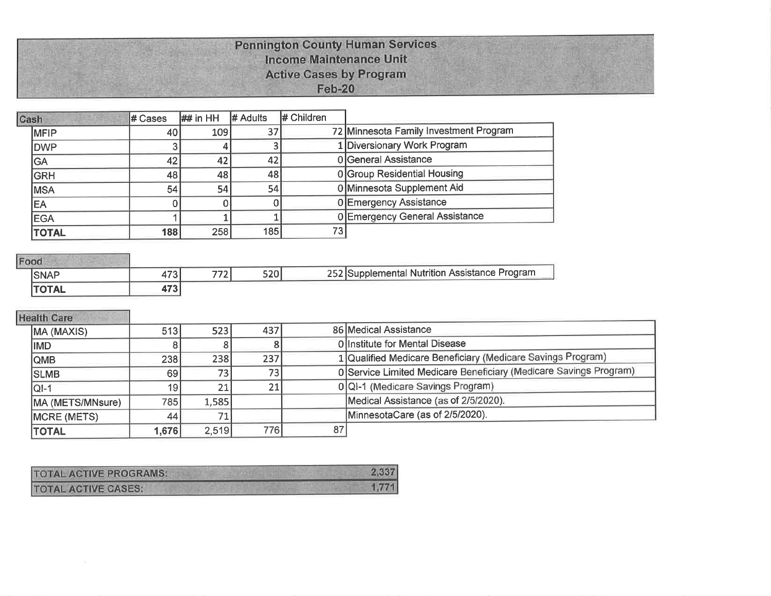#### **Pennington County Human Services Income Maintenance Unit Active Cases by Program Feb-20**

| Cash         | # Cases | $\#$ in HH      | # Adults | $#$ Children    |                                        |
|--------------|---------|-----------------|----------|-----------------|----------------------------------------|
| <b>IMFIP</b> | 40I     | 109             | 37       |                 | 72 Minnesota Family Investment Program |
| <b>DWP</b>   |         |                 |          |                 | 1 Diversionary Work Program            |
| GA           | 42      | 42              | 42       |                 | 0 General Assistance                   |
| <b>GRH</b>   | 48      | 48              | 48       |                 | 0 Group Residential Housing            |
| <b>MSA</b>   | 54      | 54 <sub>1</sub> | 54       |                 | 0 Minnesota Supplement Aid             |
| <b>EA</b>    |         |                 |          |                 | 0 Emergency Assistance                 |
| <b>EGA</b>   |         |                 |          |                 | 0 Emergency General Assistance         |
| <b>TOTAL</b> | 188     | 258             | 185      | 73 <sub>l</sub> |                                        |

# Food

| <b>SNAP</b>  | امحہ<br>ا ت 1 +         | $\overline{z}$<br>′ ∠ | $\Gamma \cap \Omega$<br>יש∡כ | 252 Supplemental Nutrition Assistance Program |  |  |  |  |  |
|--------------|-------------------------|-----------------------|------------------------------|-----------------------------------------------|--|--|--|--|--|
| <b>TOTAL</b> | $\rightarrow$<br>17 J I |                       |                              |                                               |  |  |  |  |  |

#### **Health Care**

| MA (MAXIS)       | 513             | 523             | 437             |    | 86 Medical Assistance                                             |
|------------------|-----------------|-----------------|-----------------|----|-------------------------------------------------------------------|
| <b>IMD</b>       |                 |                 |                 |    | Olinstitute for Mental Disease                                    |
| <b>QMB</b>       | 238             | 238             | 237             |    | 1 Qualified Medicare Beneficiary (Medicare Savings Program)       |
| <b>SLMB</b>      | 69              | 73 <sub>1</sub> | 73 <sub>1</sub> |    | 0 Service Limited Medicare Beneficiary (Medicare Savings Program) |
| <b>QI-1</b>      | 19 <sup>1</sup> | 21              | 21              |    | 0 QI-1 (Medicare Savings Program)                                 |
| MA (METS/MNsure) | 785             | 1,585           |                 |    | Medical Assistance (as of 2/5/2020).                              |
| MCRE (METS)      | 44              |                 |                 |    | MinnesotaCare (as of 2/5/2020).                                   |
| <b>TOTAL</b>     | 1,676           | 2.519           | 7761            | 87 |                                                                   |

| <b>TOTAL ACTIVE PROGRAMS:</b> | 2,337 |
|-------------------------------|-------|
| <b>TOTAL ACTIVE CASES:</b>    | 1,771 |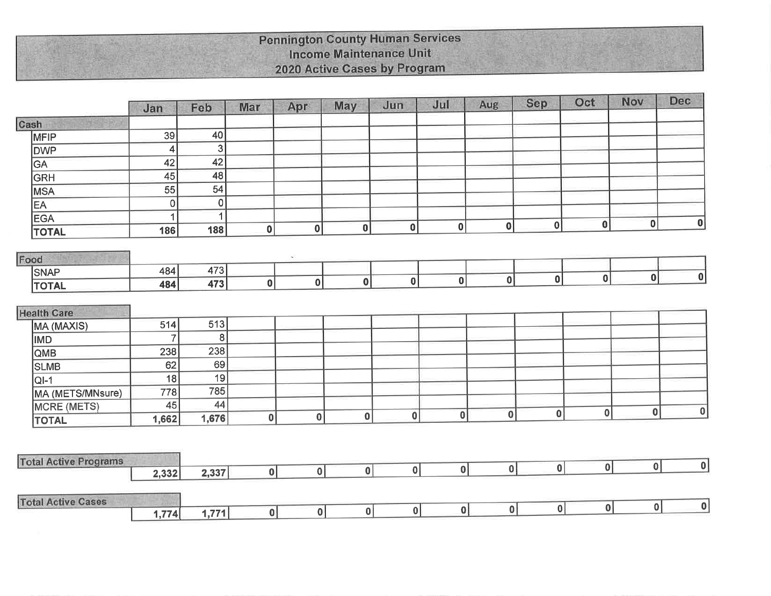### **Pennington County Human Services** Income Maintenance Unit 2020 Active Cases by Program

| Cash<br>MFIP<br><b>DWP</b><br>GA |                              | 39<br>$\overline{\mathbf{A}}$<br>42<br>45<br>55 | 40<br>$\mathbf{3}$<br>42<br>48 |              |                  |                        |              |          |          |              |          |              |                  |
|----------------------------------|------------------------------|-------------------------------------------------|--------------------------------|--------------|------------------|------------------------|--------------|----------|----------|--------------|----------|--------------|------------------|
|                                  |                              |                                                 |                                |              |                  |                        |              |          |          |              |          |              |                  |
|                                  |                              |                                                 |                                |              |                  |                        |              |          |          |              |          |              |                  |
|                                  |                              |                                                 |                                |              |                  |                        |              |          |          |              |          |              |                  |
|                                  |                              |                                                 |                                |              |                  |                        |              |          |          |              |          |              |                  |
| <b>GRH</b>                       |                              |                                                 |                                |              |                  |                        |              |          |          |              |          |              |                  |
| <b>MSA</b>                       |                              |                                                 | 54                             |              |                  |                        |              |          |          |              |          |              |                  |
| EA                               |                              | $\mathbf 0$                                     | $\overline{0}$                 |              |                  |                        |              |          |          |              |          |              |                  |
| <b>EGA</b>                       |                              | 1                                               | 1                              |              |                  |                        |              |          |          |              |          | $\mathbf{0}$ | 0                |
| <b>TOTAL</b>                     |                              | 186                                             | 188                            | $\mathbf{0}$ | $\boldsymbol{0}$ | $\bf{0}$               | $\bf{0}$     | 0        | 0        | 0            | $\bf{0}$ |              |                  |
|                                  |                              |                                                 |                                |              | $\sim$           |                        |              |          |          |              |          |              |                  |
| Food                             |                              | 484                                             | 473                            |              |                  |                        |              |          |          |              |          |              |                  |
| <b>SNAP</b>                      |                              | 484                                             | 473                            | 0            | $\mathbf 0$      | $\boldsymbol{0}$       | $\mathbf{0}$ | $\bf{0}$ | 0        | $\mathbf{0}$ | $\bf{0}$ | $\mathbf{0}$ | $\boldsymbol{0}$ |
| <b>TOTAL</b>                     |                              |                                                 |                                |              |                  |                        |              |          |          |              |          |              |                  |
| <b>Health Care</b>               |                              |                                                 |                                |              |                  |                        |              |          |          |              |          |              |                  |
| MA (MAXIS)                       |                              | 514                                             | 513                            |              |                  |                        |              |          |          |              |          |              |                  |
| <b>IMD</b>                       |                              | $\overline{7}$                                  | 8                              |              |                  |                        |              |          |          |              |          |              |                  |
| QMB                              |                              | 238                                             | 238                            |              |                  |                        |              |          |          |              |          |              |                  |
| <b>SLMB</b>                      |                              | 62                                              | 69                             |              |                  |                        |              |          |          |              |          |              |                  |
| $QI-1$                           |                              | 18                                              | 19                             |              |                  |                        |              |          |          |              |          |              |                  |
|                                  | MA (METS/MNsure)             | 778                                             | 785                            |              |                  |                        |              |          |          |              |          |              |                  |
| <b>MCRE (METS)</b>               |                              | 45                                              | 44                             |              |                  |                        |              |          |          |              |          | 0            | 0                |
| <b>TOTAL</b>                     |                              | 1,662                                           | 1,676                          | 0            | $\bf{0}$         | 0                      | $\bf{0}$     | 0        | 0        | $\bf{0}$     | 0        |              |                  |
|                                  |                              |                                                 |                                |              |                  |                        |              |          |          |              |          |              |                  |
|                                  | <b>Total Active Programs</b> |                                                 |                                |              |                  |                        |              |          |          |              |          |              |                  |
|                                  |                              | 2,332                                           | 2,337                          | 0            |                  | 0 <br> 0               | 0            | 0        | 0        | 0            | 0        | 0            | 0                |
| <b>Total Active Cases</b>        |                              |                                                 |                                |              |                  |                        |              |          |          |              |          |              |                  |
|                                  |                              | 1,774                                           | 1,771                          | 0            |                  | 0 <br>$\boldsymbol{0}$ | 0            | 0        | $\bf{0}$ | 0            | 0        | 0            | $\bf{0}$         |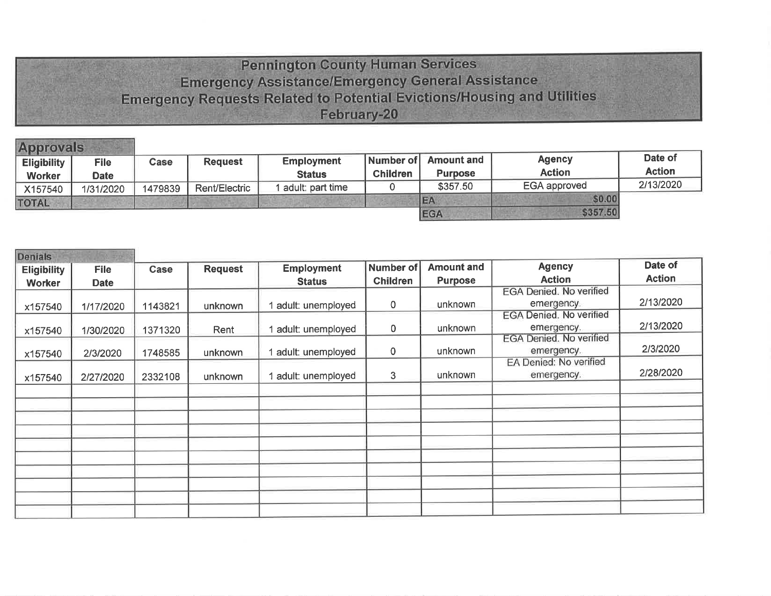# **Pennington County Human Services Emergency Assistance/Emergency General Assistance Emergency Requests Related to Potential Evictions/Housing and Utilities** February-20

| <b>Approvals</b>   |             |         |                |                   |                 |                   |                     |               |
|--------------------|-------------|---------|----------------|-------------------|-----------------|-------------------|---------------------|---------------|
| <b>Eligibility</b> | <b>File</b> | Case    | <b>Request</b> | <b>Employment</b> | Number of       | <b>Amount and</b> | <b>Agency</b>       | Date of       |
| <b>Worker</b>      | <b>Date</b> |         |                | <b>Status</b>     | <b>Children</b> | <b>Purpose</b>    | <b>Action</b>       | <b>Action</b> |
| X157540            | 1/31/2020   | 1479839 | Rent/Electric  | adult: part time  |                 | \$357.50          | <b>EGA approved</b> | 2/13/2020     |
| <b>TOTAL</b>       |             |         |                |                   |                 | EA                | \$0.00              |               |
|                    |             |         |                |                   |                 | <b>EGA</b>        | \$357.50            |               |

| <b>Denials</b>     |             |         |                |                   |                  |                   |                                |               |
|--------------------|-------------|---------|----------------|-------------------|------------------|-------------------|--------------------------------|---------------|
| <b>Eligibility</b> | <b>File</b> | Case    | <b>Request</b> | <b>Employment</b> | <b>Number of</b> | <b>Amount and</b> | <b>Agency</b>                  | Date of       |
| <b>Worker</b>      | <b>Date</b> |         |                | <b>Status</b>     | <b>Children</b>  | <b>Purpose</b>    | <b>Action</b>                  | <b>Action</b> |
|                    |             |         |                |                   |                  |                   | EGA Denied. No verified        |               |
| x157540            | 1/17/2020   | 1143821 | unknown        | adult: unemployed | 0                | unknown           | emergency.                     | 2/13/2020     |
|                    |             |         |                |                   |                  |                   | <b>EGA Denied. No verified</b> |               |
| x157540            | 1/30/2020   | 1371320 | Rent           | adult: unemployed | $\pmb{0}$        | unknown           | emergency.                     | 2/13/2020     |
|                    |             |         |                |                   |                  |                   | <b>EGA Denied. No verified</b> |               |
| x157540            | 2/3/2020    | 1748585 | unknown        | adult: unemployed | $\mathbf 0$      | unknown           | emergency.                     | 2/3/2020      |
|                    |             |         |                |                   |                  |                   | EA Denied: No verified         |               |
| x157540            | 2/27/2020   | 2332108 | unknown        | adult: unemployed | 3                | unknown           | emergency.                     | 2/28/2020     |
|                    |             |         |                |                   |                  |                   |                                |               |
|                    |             |         |                |                   |                  |                   |                                |               |
|                    |             |         |                |                   |                  |                   |                                |               |
|                    |             |         |                |                   |                  |                   |                                |               |
|                    |             |         |                |                   |                  |                   |                                |               |
|                    |             |         |                |                   |                  |                   |                                |               |
|                    |             |         |                |                   |                  |                   |                                |               |
|                    |             |         |                |                   |                  |                   |                                |               |
|                    |             |         |                |                   |                  |                   |                                |               |
|                    |             |         |                |                   |                  |                   |                                |               |
|                    |             |         |                |                   |                  |                   |                                |               |